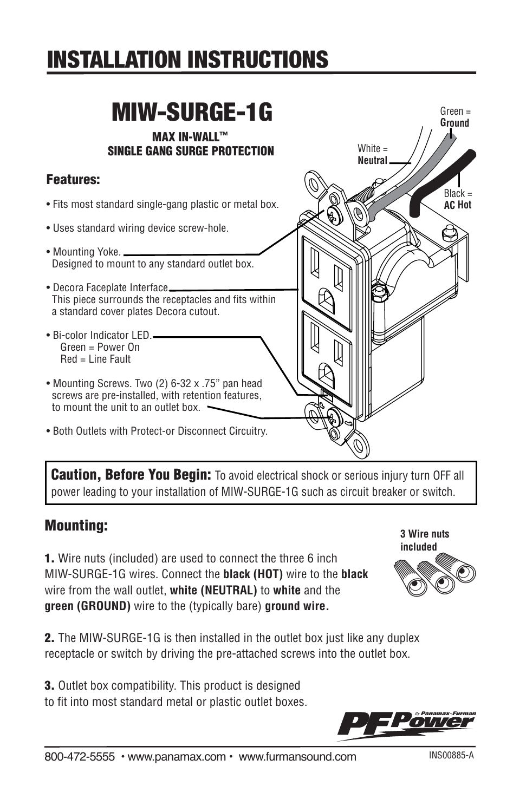# INSTALLATION INSTRUCTIONS

#### MAX IN-WALL™ SINGLE GANG SURGE PROTECTION Features: • Fits most standard single-gang plastic or metal box. • Uses standard wiring device screw-hole. • Mounting Yoke. \_ Designed to mount to any standard outlet box. • Decora Faceplate Interface\_ This piece surrounds the receptacles and fits within a standard cover plates Decora cutout. • Bi-color Indicator LED. Green = Power On Red = Line Fault • Mounting Screws. Two (2) 6-32 x .75" pan head screws are pre-installed, with retention features, to mount the unit to an outlet box. • Both Outlets with Protect-or Disconnect Circuitry. MIW-SURGE-1G  $Black =$ **AC Hot** White = **Neutral** Green = **Ground**

**Caution, Before You Begin:** To avoid electrical shock or serious injury turn OFF all power leading to your installation of MIW-SURGE-1G such as circuit breaker or switch.

### Mounting:

ℾ

1. Wire nuts (included) are used to connect the three 6 inch MIW-SURGE-1G wires. Connect the **black (HOT)** wire to the **black** wire from the wall outlet, **white (NEUTRAL)** to **white** and the **green (GROUND)** wire to the (typically bare) **ground wire.**

2. The MIW-SURGE-1G is then installed in the outlet box just like any duplex receptacle or switch by driving the pre-attached screws into the outlet box.

3. Outlet box compatibility. This product is designed to fit into most standard metal or plastic outlet boxes. **included**

**3 Wire nuts**